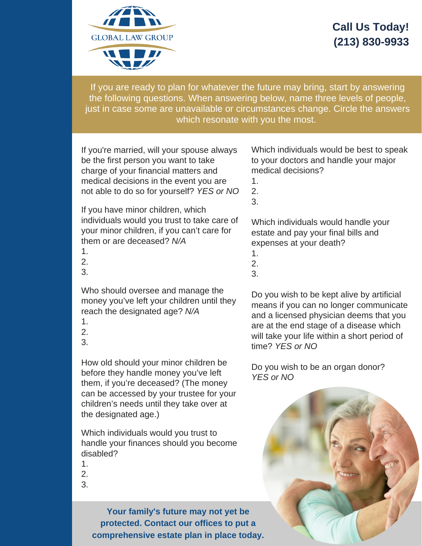

## **Call Us Today! (213) 830-9933**

If you are ready to plan for whatever the future may bring, start by answering the following questions. When answering below, name three levels of people, just in case some are unavailable or circumstances change. Circle the answers which resonate with you the most.

1. If you're married, will not able to do so for yourself? *YES or NO* If you're married, will your spouse always be the first person you want to take charge of your financial matters and medical decisions in the event you are

3<br>If you have minor children, which individuals would you trust to take care of your minor children, if you can't care for<br>them or are deceased? N/4 them or are deceased? *N/A*

- 1.
- 2.
- 3.

Who should oversee and manage the money you've left your children until they reach the designated age? *N/A*

- 1.
- 2.
- 3.

How old should your minor children be before they handle money you've left them, if you're deceased? (The money can be accessed by your trustee for your children's needs until they take over at the designated age.)

Which individuals would you trust to handle your finances should you become disabled?

- 1.
- 2.
- 3.

**Your family's future may not yet be protected. Contact our offices to put a comprehensive estate plan in place today.**

Which individuals would be best to speak to your doctors and handle your major medical decisions?

- 1.
- 2. 3.

Which individuals would handle your estate and pay your final bills and expenses at your death?

- 1.
- 2.
- 3.

Do you wish to be kept alive by artificial means if you can no longer communicate and a licensed physician deems that you are at the end stage of a disease which will take your life within a short period of time? *YES or NO*

Do you wish to be an organ donor? *YES or NO*